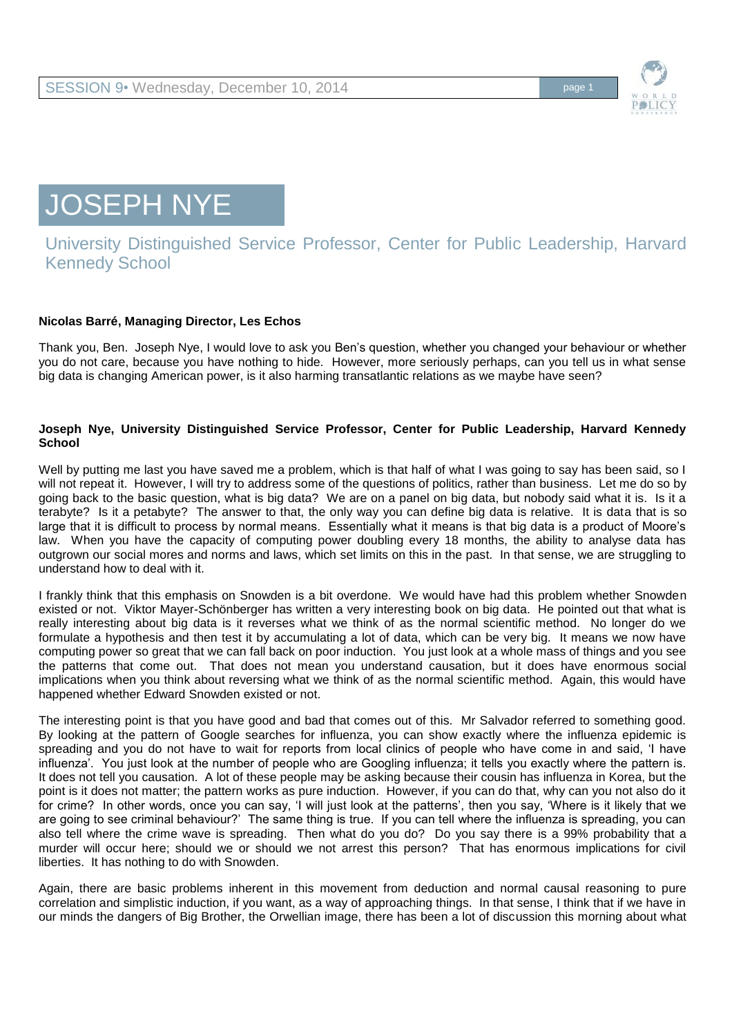

JOSEPH NYE

## University Distinguished Service Professor, Center for Public Leadership, Harvard Kennedy School

## **Nicolas Barré, Managing Director, Les Echos**

Thank you, Ben. Joseph Nye, I would love to ask you Ben's question, whether you changed your behaviour or whether you do not care, because you have nothing to hide. However, more seriously perhaps, can you tell us in what sense big data is changing American power, is it also harming transatlantic relations as we maybe have seen?

## **Joseph Nye, University Distinguished Service Professor, Center for Public Leadership, Harvard Kennedy School**

Well by putting me last you have saved me a problem, which is that half of what I was going to say has been said, so I will not repeat it. However, I will try to address some of the questions of politics, rather than business. Let me do so by going back to the basic question, what is big data? We are on a panel on big data, but nobody said what it is. Is it a terabyte? Is it a petabyte? The answer to that, the only way you can define big data is relative. It is data that is so large that it is difficult to process by normal means. Essentially what it means is that big data is a product of Moore's law. When you have the capacity of computing power doubling every 18 months, the ability to analyse data has outgrown our social mores and norms and laws, which set limits on this in the past. In that sense, we are struggling to understand how to deal with it.

I frankly think that this emphasis on Snowden is a bit overdone. We would have had this problem whether Snowden existed or not. Viktor Mayer-Schönberger has written a very interesting book on big data. He pointed out that what is really interesting about big data is it reverses what we think of as the normal scientific method. No longer do we formulate a hypothesis and then test it by accumulating a lot of data, which can be very big. It means we now have computing power so great that we can fall back on poor induction. You just look at a whole mass of things and you see the patterns that come out. That does not mean you understand causation, but it does have enormous social implications when you think about reversing what we think of as the normal scientific method. Again, this would have happened whether Edward Snowden existed or not.

The interesting point is that you have good and bad that comes out of this. Mr Salvador referred to something good. By looking at the pattern of Google searches for influenza, you can show exactly where the influenza epidemic is spreading and you do not have to wait for reports from local clinics of people who have come in and said, 'I have influenza'. You just look at the number of people who are Googling influenza; it tells you exactly where the pattern is. It does not tell you causation. A lot of these people may be asking because their cousin has influenza in Korea, but the point is it does not matter; the pattern works as pure induction. However, if you can do that, why can you not also do it for crime? In other words, once you can say, 'I will just look at the patterns', then you say, 'Where is it likely that we are going to see criminal behaviour?' The same thing is true. If you can tell where the influenza is spreading, you can also tell where the crime wave is spreading. Then what do you do? Do you say there is a 99% probability that a murder will occur here; should we or should we not arrest this person? That has enormous implications for civil liberties. It has nothing to do with Snowden.

Again, there are basic problems inherent in this movement from deduction and normal causal reasoning to pure correlation and simplistic induction, if you want, as a way of approaching things. In that sense, I think that if we have in our minds the dangers of Big Brother, the Orwellian image, there has been a lot of discussion this morning about what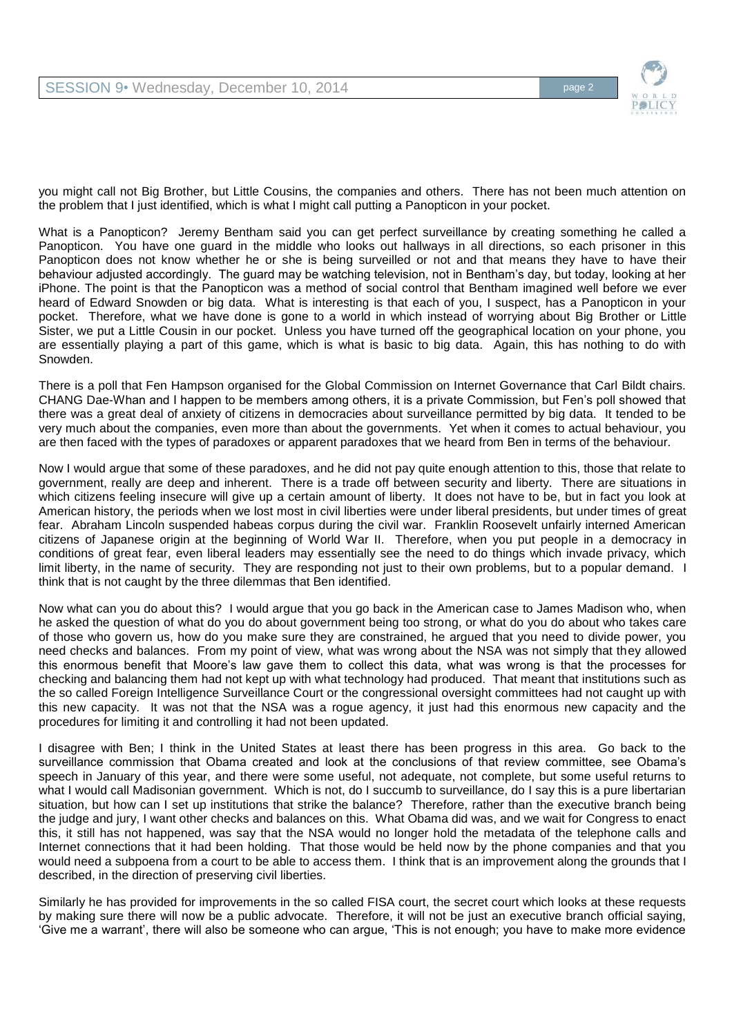

you might call not Big Brother, but Little Cousins, the companies and others. There has not been much attention on the problem that I just identified, which is what I might call putting a Panopticon in your pocket.

What is a Panopticon? Jeremy Bentham said you can get perfect surveillance by creating something he called a Panopticon. You have one guard in the middle who looks out hallways in all directions, so each prisoner in this Panopticon does not know whether he or she is being surveilled or not and that means they have to have their behaviour adjusted accordingly. The guard may be watching television, not in Bentham's day, but today, looking at her iPhone. The point is that the Panopticon was a method of social control that Bentham imagined well before we ever heard of Edward Snowden or big data. What is interesting is that each of you, I suspect, has a Panopticon in your pocket. Therefore, what we have done is gone to a world in which instead of worrying about Big Brother or Little Sister, we put a Little Cousin in our pocket. Unless you have turned off the geographical location on your phone, you are essentially playing a part of this game, which is what is basic to big data. Again, this has nothing to do with Snowden.

There is a poll that Fen Hampson organised for the Global Commission on Internet Governance that Carl Bildt chairs. CHANG Dae-Whan and I happen to be members among others, it is a private Commission, but Fen's poll showed that there was a great deal of anxiety of citizens in democracies about surveillance permitted by big data. It tended to be very much about the companies, even more than about the governments. Yet when it comes to actual behaviour, you are then faced with the types of paradoxes or apparent paradoxes that we heard from Ben in terms of the behaviour.

Now I would argue that some of these paradoxes, and he did not pay quite enough attention to this, those that relate to government, really are deep and inherent. There is a trade off between security and liberty. There are situations in which citizens feeling insecure will give up a certain amount of liberty. It does not have to be, but in fact you look at American history, the periods when we lost most in civil liberties were under liberal presidents, but under times of great fear. Abraham Lincoln suspended habeas corpus during the civil war. Franklin Roosevelt unfairly interned American citizens of Japanese origin at the beginning of World War II. Therefore, when you put people in a democracy in conditions of great fear, even liberal leaders may essentially see the need to do things which invade privacy, which limit liberty, in the name of security. They are responding not just to their own problems, but to a popular demand. I think that is not caught by the three dilemmas that Ben identified.

Now what can you do about this? I would argue that you go back in the American case to James Madison who, when he asked the question of what do you do about government being too strong, or what do you do about who takes care of those who govern us, how do you make sure they are constrained, he argued that you need to divide power, you need checks and balances. From my point of view, what was wrong about the NSA was not simply that they allowed this enormous benefit that Moore's law gave them to collect this data, what was wrong is that the processes for checking and balancing them had not kept up with what technology had produced. That meant that institutions such as the so called Foreign Intelligence Surveillance Court or the congressional oversight committees had not caught up with this new capacity. It was not that the NSA was a rogue agency, it just had this enormous new capacity and the procedures for limiting it and controlling it had not been updated.

I disagree with Ben; I think in the United States at least there has been progress in this area. Go back to the surveillance commission that Obama created and look at the conclusions of that review committee, see Obama's speech in January of this year, and there were some useful, not adequate, not complete, but some useful returns to what I would call Madisonian government. Which is not, do I succumb to surveillance, do I say this is a pure libertarian situation, but how can I set up institutions that strike the balance? Therefore, rather than the executive branch being the judge and jury, I want other checks and balances on this. What Obama did was, and we wait for Congress to enact this, it still has not happened, was say that the NSA would no longer hold the metadata of the telephone calls and Internet connections that it had been holding. That those would be held now by the phone companies and that you would need a subpoena from a court to be able to access them. I think that is an improvement along the grounds that I described, in the direction of preserving civil liberties.

Similarly he has provided for improvements in the so called FISA court, the secret court which looks at these requests by making sure there will now be a public advocate. Therefore, it will not be just an executive branch official saying, 'Give me a warrant', there will also be someone who can argue, 'This is not enough; you have to make more evidence